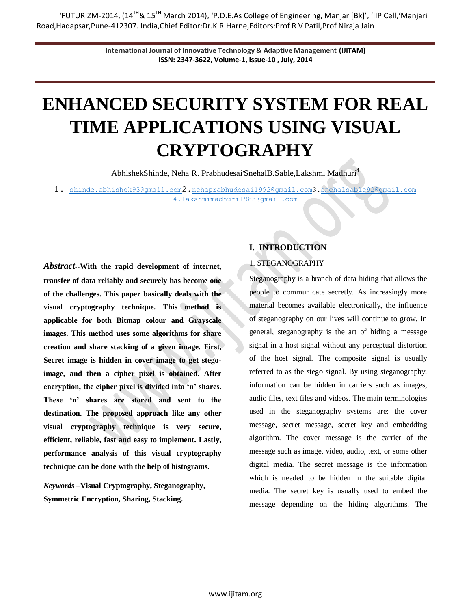'FUTURIZM-2014, (14TH& 15TH March 2014), 'P.D.E.As College of Engineering, Manjari[Bk]', 'IIP Cell,'Manjari Road,Hadapsar,Pune-412307. India,Chief Editor:Dr.K.R.Harne,Editors:Prof R V Patil,Prof Niraja Jain

> **International Journal of Innovative Technology & Adaptive Management (IJITAM) ISSN: 2347-3622, Volume-1, Issue-10 , July, 2014**

# **ENHANCED SECURITY SYSTEM FOR REAL TIME APPLICATIONS USING VISUAL CRYPTOGRAPHY**

AbhishekShinde, Neha R. Prabhudesai SnehalB.Sable,Lakshmi Madhuri<sup>4</sup>

1. [shinde.abhishek93@gmail.com](mailto:shinde.abhishek93@gmail.com)2.[nehaprabhudesai1992@gmail.com3](mailto:nehaprabhudesai1992@gmail.com)[.snehalsable92@gmail.com](mailto:snehalsable92@gmail.com)  4.lakshmimadhuri1983@gmail.com

*Abstract--***With the rapid development of internet, transfer of data reliably and securely has become one of the challenges. This paper basically deals with the visual cryptography technique. This method is applicable for both Bitmap colour and Grayscale images. This method uses some algorithms for share creation and share stacking of a given image. First, Secret image is hidden in cover image to get stegoimage, and then a cipher pixel is obtained. After encryption, the cipher pixel is divided into 'n' shares. These 'n' shares are stored and sent to the destination. The proposed approach like any other visual cryptography technique is very secure, efficient, reliable, fast and easy to implement. Lastly, performance analysis of this visual cryptography technique can be done with the help of histograms.**

*Keywords* **–Visual Cryptography, Steganography, Symmetric Encryption, Sharing, Stacking.**

# **I. INTRODUCTION**

#### 1. STEGANOGRAPHY

Steganography is a branch of data hiding that allows the people to communicate secretly. As increasingly more material becomes available electronically, the influence of steganography on our lives will continue to grow. In general, steganography is the art of hiding a message signal in a host signal without any perceptual distortion of the host signal. The composite signal is usually referred to as the stego signal. By using steganography, information can be hidden in carriers such as images, audio files, text files and videos. The main terminologies used in the steganography systems are: the cover message, secret message, secret key and embedding algorithm. The cover message is the carrier of the message such as image, video, audio, text, or some other digital media. The secret message is the information which is needed to be hidden in the suitable digital media. The secret key is usually used to embed the message depending on the hiding algorithms. The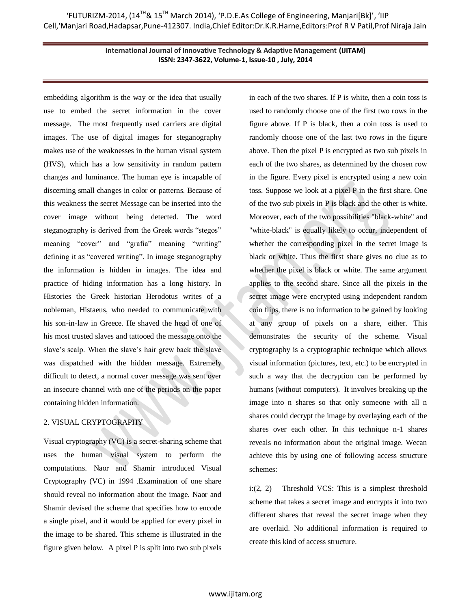embedding algorithm is the way or the idea that usually use to embed the secret information in the cover message. The most frequently used carriers are digital images. The use of digital images for steganography makes use of the weaknesses in the human visual system (HVS), which has a low sensitivity in random pattern changes and luminance. The human eye is incapable of discerning small changes in color or patterns. Because of this weakness the secret Message can be inserted into the cover image without being detected. The word steganography is derived from the Greek words "stegos" meaning "cover" and "grafia" meaning "writing" defining it as "covered writing". In image steganography the information is hidden in images. The idea and practice of hiding information has a long history. In Histories the Greek historian Herodotus writes of a nobleman, Histaeus, who needed to communicate with his son-in-law in Greece. He shaved the head of one of his most trusted slaves and tattooed the message onto the slave's scalp. When the slave's hair grew back the slave was dispatched with the hidden message. Extremely difficult to detect, a normal cover message was sent over an insecure channel with one of the periods on the paper containing hidden information.

# 2. VISUAL CRYPTOGRAPHY

Visual cryptography (VC) is a secret-sharing scheme that uses the human visual system to perform the computations. Naor and Shamir introduced Visual Cryptography (VC) in 1994 .Examination of one share should reveal no information about the image. Naor and Shamir devised the scheme that specifies how to encode a single pixel, and it would be applied for every pixel in the image to be shared. This scheme is illustrated in the figure given below. A pixel P is split into two sub pixels in each of the two shares. If P is white, then a coin toss is used to randomly choose one of the first two rows in the figure above. If P is black, then a coin toss is used to randomly choose one of the last two rows in the figure above. Then the pixel P is encrypted as two sub pixels in each of the two shares, as determined by the chosen row in the figure. Every pixel is encrypted using a new coin toss. Suppose we look at a pixel P in the first share. One of the two sub pixels in P is black and the other is white. Moreover, each of the two possibilities "black-white" and "white-black" is equally likely to occur, independent of whether the corresponding pixel in the secret image is black or white. Thus the first share gives no clue as to whether the pixel is black or white. The same argument applies to the second share. Since all the pixels in the secret image were encrypted using independent random coin flips, there is no information to be gained by looking at any group of pixels on a share, either. This demonstrates the security of the scheme. Visual cryptography is a cryptographic technique which allows visual information (pictures, text, etc.) to be encrypted in such a way that the decryption can be performed by humans (without computers). It involves breaking up the image into n shares so that only someone with all n shares could decrypt the image by overlaying each of the shares over each other. In this technique n-1 shares reveals no information about the original image. Wecan achieve this by using one of following access structure schemes:

 $i:(2, 2)$  – Threshold VCS: This is a simplest threshold scheme that takes a secret image and encrypts it into two different shares that reveal the secret image when they are overlaid. No additional information is required to create this kind of access structure.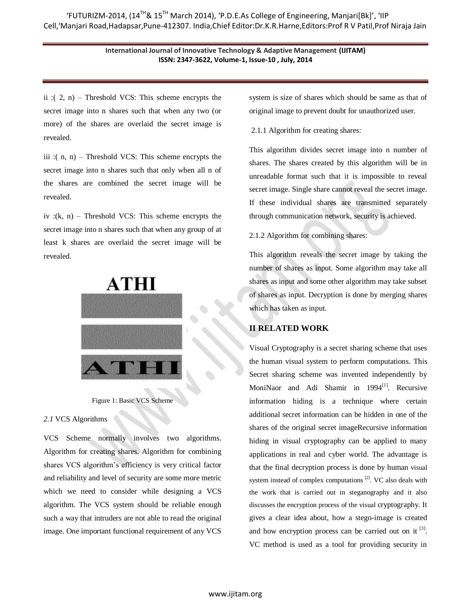ii :( $2$ , n) – Threshold VCS: This scheme encrypts the secret image into n shares such that when any two (or more) of the shares are overlaid the secret image is revealed.

iii :( $n, n$ ) – Threshold VCS: This scheme encrypts the secret image into n shares such that only when all n of the shares are combined the secret image will be revealed.

iv :(k, n) – Threshold VCS: This scheme encrypts the secret image into n shares such that when any group of at least k shares are overlaid the secret image will be revealed.



Figure 1: Basic VCS Scheme

## *2.1* VCS Algorithms

VCS Scheme normally involves two algorithms. Algorithm for creating shares. Algorithm for combining shares VCS algorithm's efficiency is very critical factor and reliability and level of security are some more metric which we need to consider while designing a VCS algorithm. The VCS system should be reliable enough such a way that intruders are not able to read the original image. One important functional requirement of any VCS

system is size of shares which should be same as that of original image to prevent doubt for unauthorized user.

## 2.1.1 Algorithm for creating shares:

This algorithm divides secret image into n number of shares. The shares created by this algorithm will be in unreadable format such that it is impossible to reveal secret image. Single share cannot reveal the secret image. If these individual shares are transmitted separately through communication network, security is achieved.

2.1.2 Algorithm for combining shares:

This algorithm reveals the secret image by taking the number of shares as input. Some algorithm may take all shares as input and some other algorithm may take subset of shares as input. Decryption is done by merging shares which has taken as input.

# **II RELATED WORK**

Visual Cryptography is a secret sharing scheme that uses the human visual system to perform computations. This Secret sharing scheme was invented independently by MoniNaor and Adi Shamir in 1994<sup>[1]</sup>. Recursive information hiding is a technique where certain additional secret information can be hidden in one of the shares of the original secret imageRecursive information hiding in visual cryptography can be applied to many applications in real and cyber world. The advantage is that the final decryption process is done by human visual system instead of complex computations [2]. VC also deals with the work that is carried out in steganography and it also discusses the encryption process of the visual cryptography. It gives a clear idea about, how a stego-image is created and how encryption process can be carried out on it  $^{[3]}$ . VC method is used as a tool for providing security in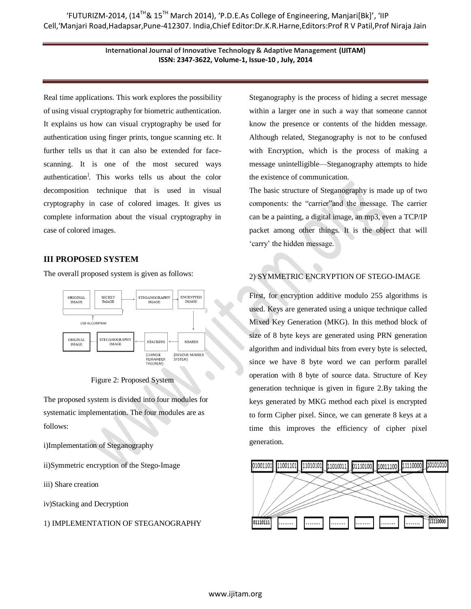Real time applications. This work explores the possibility of using visual cryptography for biometric authentication. It explains us how can visual cryptography be used for authentication using finger prints, tongue scanning etc. It further tells us that it can also be extended for facescanning. It is one of the most secured ways authentication] . This works tells us about the color decomposition technique that is used in visual cryptography in case of colored images. It gives us complete information about the visual cryptography in case of colored images.

## **III PROPOSED SYSTEM**

The overall proposed system is given as follows:





The proposed system is divided into four modules for systematic implementation. The four modules are as follows:

i)Implementation of Steganography

ii)Symmetric encryption of the Stego-Image

iii) Share creation

iv)Stacking and Decryption

#### 1) IMPLEMENTATION OF STEGANOGRAPHY

Steganography is the process of hiding a secret message within a larger one in such a way that someone cannot know the presence or contents of the hidden message. Although related, Steganography is not to be confused with Encryption, which is the process of making a message unintelligible—Steganography attempts to hide the existence of communication.

The basic structure of Steganography is made up of two components: the "carrier" and the message. The carrier can be a painting, a digital image, an mp3, even a TCP/IP packet among other things. It is the object that will ‗carry' the hidden message.

# 2) SYMMETRIC ENCRYPTION OF STEGO-IMAGE

First, for encryption additive modulo 255 algorithms is used. Keys are generated using a unique technique called Mixed Key Generation (MKG). In this method block of size of 8 byte keys are generated using PRN generation algorithm and individual bits from every byte is selected, since we have 8 byte word we can perform parallel operation with 8 byte of source data. Structure of Key generation technique is given in figure 2.By taking the keys generated by MKG method each pixel is encrypted to form Cipher pixel. Since, we can generate 8 keys at a time this improves the efficiency of cipher pixel generation.

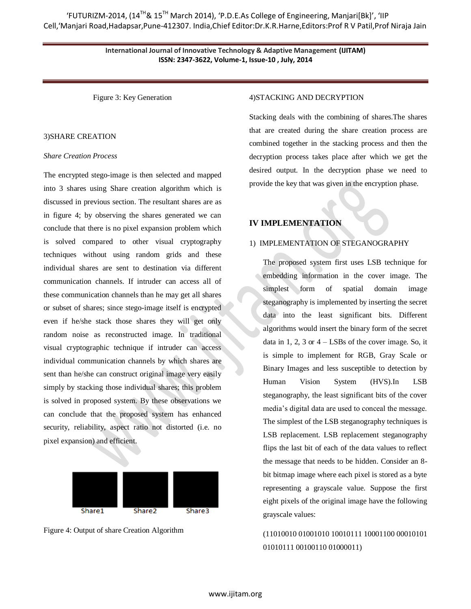Figure 3: Key Generation

#### 3)SHARE CREATION

#### *Share Creation Process*

The encrypted stego-image is then selected and mapped into 3 shares using Share creation algorithm which is discussed in previous section. The resultant shares are as in figure 4; by observing the shares generated we can conclude that there is no pixel expansion problem which is solved compared to other visual cryptography techniques without using random grids and these individual shares are sent to destination via different communication channels. If intruder can access all of these communication channels than he may get all shares or subset of shares; since stego-image itself is encrypted even if he/she stack those shares they will get only random noise as reconstructed image. In traditional visual cryptographic technique if intruder can access individual communication channels by which shares are sent than he/she can construct original image very easily simply by stacking those individual shares; this problem is solved in proposed system. By these observations we can conclude that the proposed system has enhanced security, reliability, aspect ratio not distorted (i.e. no pixel expansion) and efficient.



Figure 4: Output of share Creation Algorithm

#### 4)STACKING AND DECRYPTION

Stacking deals with the combining of shares.The shares that are created during the share creation process are combined together in the stacking process and then the decryption process takes place after which we get the desired output. In the decryption phase we need to provide the key that was given in the encryption phase.

#### **IV IMPLEMENTATION**

## 1) IMPLEMENTATION OF STEGANOGRAPHY

The proposed system first uses LSB technique for embedding information in the cover image. The simplest form of spatial domain image steganography is implemented by inserting the secret data into the least significant bits. Different algorithms would insert the binary form of the secret data in 1, 2, 3 or  $4 -$ LSBs of the cover image. So, it is simple to implement for RGB, Gray Scale or Binary Images and less susceptible to detection by Human Vision System (HVS).In LSB steganography, the least significant bits of the cover media's digital data are used to conceal the message. The simplest of the LSB steganography techniques is LSB replacement. LSB replacement steganography flips the last bit of each of the data values to reflect the message that needs to be hidden. Consider an 8 bit bitmap image where each pixel is stored as a byte representing a grayscale value. Suppose the first eight pixels of the original image have the following grayscale values:

(11010010 01001010 10010111 10001100 00010101 01010111 00100110 01000011)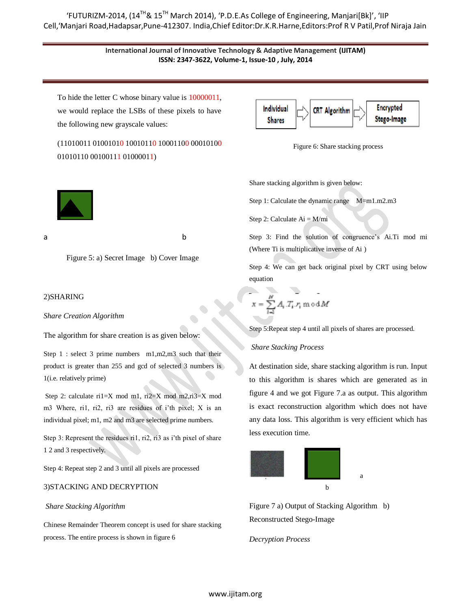# 'FUTURIZM-2014, (14<sup>TH</sup>& 15<sup>TH</sup> March 2014), 'P.D.E.As College of Engineering, Manjari[Bk]', 'IIP Cell,'Manjari Road,Hadapsar,Pune-412307. India,Chief Editor:Dr.K.R.Harne,Editors:Prof R V Patil,Prof Niraja Jain

## **International Journal of Innovative Technology & Adaptive Management (IJITAM) ISSN: 2347-3622, Volume-1, Issue-10 , July, 2014**

To hide the letter C whose binary value is 10000011, we would replace the LSBs of these pixels to have the following new grayscale values:

(11010011 01001010 10010110 10001100 00010100 01010110 00100111 01000011)



Figure 6: Share stacking process

Share stacking algorithm is given below:

Step 1: Calculate the dynamic range M=m1.m2.m3

Step 2: Calculate  $Ai = M/mi$ 

Step 3: Find the solution of congruence's Ai.Ti mod mi (Where Ti is multiplicative inverse of Ai )

Step 4: We can get back original pixel by CRT using below equation

$$
x = \sum_{i=1}^M A_i \, T_i \, r_i \, \text{m of } M
$$

Step 5:Repeat step 4 until all pixels of shares are processed.

#### *Share Stacking Process*

At destination side, share stacking algorithm is run. Input to this algorithm is shares which are generated as in figure 4 and we got Figure 7.a as output. This algorithm is exact reconstruction algorithm which does not have any data loss. This algorithm is very efficient which has less execution time.



Figure 7 a) Output of Stacking Algorithm b) Reconstructed Stego-Image

*Decryption Process*

a b

Figure 5: a) Secret Image b) Cover Image

#### 2)SHARING

*Share Creation Algorithm*

The algorithm for share creation is as given below:

Step 1 : select 3 prime numbers m1,m2,m3 such that their product is greater than 255 and gcd of selected 3 numbers is 1(i.e. relatively prime)

Step 2: calculate ri1=X mod m1, ri2=X mod m2,ri3=X mod m3 Where, ri1, ri2, ri3 are residues of i'th pixel; X is an individual pixel; m1, m2 and m3 are selected prime numbers.

Step 3: Represent the residues ri1, ri2, ri3 as i'th pixel of share 1 2 and 3 respectively.

Step 4: Repeat step 2 and 3 until all pixels are processed

## 3)STACKING AND DECRYPTION

## *Share Stacking Algorithm*

Chinese Remainder Theorem concept is used for share stacking process. The entire process is shown in figure 6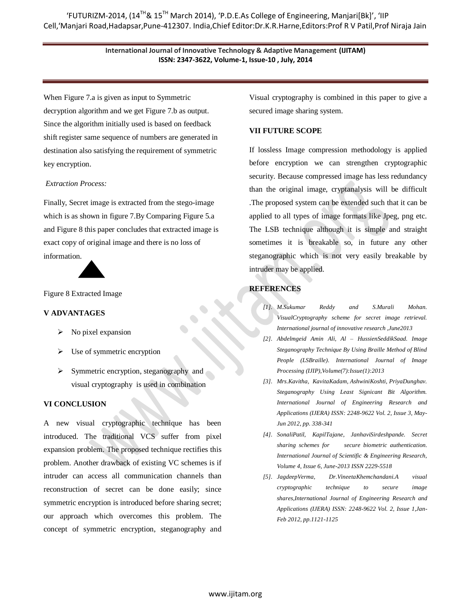When Figure 7.a is given as input to Symmetric decryption algorithm and we get Figure 7.b as output. Since the algorithm initially used is based on feedback shift register same sequence of numbers are generated in destination also satisfying the requirement of symmetric key encryption.

## *Extraction Process:*

Finally, Secret image is extracted from the stego-image which is as shown in figure 7.By Comparing Figure 5.a and Figure 8 this paper concludes that extracted image is exact copy of original image and there is no loss of information.



Figure 8 Extracted Image

# **V ADVANTAGES**

- $\triangleright$  No pixel expansion
- $\triangleright$  Use of symmetric encryption
- $\triangleright$  Symmetric encryption, steganography and visual cryptography is used in combination

# **VI CONCLUSION**

A new visual cryptographic technique has been introduced. The traditional VCS suffer from pixel expansion problem. The proposed technique rectifies this problem. Another drawback of existing VC schemes is if intruder can access all communication channels than reconstruction of secret can be done easily; since symmetric encryption is introduced before sharing secret; our approach which overcomes this problem. The concept of symmetric encryption, steganography and Visual cryptography is combined in this paper to give a secured image sharing system.

# **VII FUTURE SCOPE**

If lossless Image compression methodology is applied before encryption we can strengthen cryptographic security. Because compressed image has less redundancy than the original image, cryptanalysis will be difficult .The proposed system can be extended such that it can be applied to all types of image formats like Jpeg, png etc. The LSB technique although it is simple and straight sometimes it is breakable so, in future any other steganographic which is not very easily breakable by intruder may be applied.

# **REFERENCES**

- *[1]. M.Sukumar Reddy and S.Murali Mohan. VisualCryptography scheme for secret image retrieval. International journal of innovative research ,June2013*
- *[2]. Abdelmgeid Amin Ali, Al – HussienSeddikSaad. Image Steganography Technique By Using Braille Method of Blind People (LSBraille). International Journal of Image Processing (IJIP),Volume(7):Issue(1):2013*
- *[3]. Mrs.Kavitha, KavitaKadam, AshwiniKoshti, PriyaDunghav. Steganography Using Least Signicant Bit Algorithm. International Journal of Engineering Research and Applications (IJERA) ISSN: 2248-9622 Vol. 2, Issue 3, May-Jun 2012, pp. 338-341*
- *[4]. SonaliPatil, KapilTajane, JanhaviSirdeshpande. Secret sharing schemes for secure biometric authentication. International Journal of Scientific & Engineering Research, Volume 4, Issue 6, June-2013 ISSN 2229-5518*
- *[5]. JagdeepVerma, Dr.VineetaKhemchandani.A visual cryptographic technique to secure image shares,International Journal of Engineering Research and Applications (IJERA) ISSN: 2248-9622 Vol. 2, Issue 1,Jan-Feb 2012, pp.1121-1125*